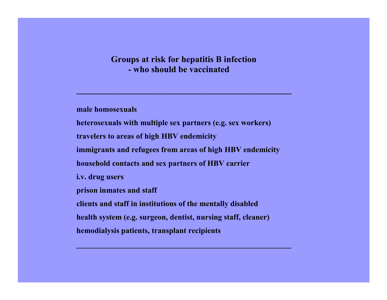#### **Groups at risk for hepatitis B infection - who should be vaccinated**

**\_\_\_\_\_\_\_\_\_\_\_\_\_\_\_\_\_\_\_\_\_\_\_\_\_\_\_\_\_\_\_\_\_\_\_\_\_\_\_\_\_\_\_\_\_\_\_\_\_**

**male homosexuals**

**heterosexuals with multiple sex partners (e.g. sex workers) travelers to areas of high HBV endemicity immigrants and refugees from areas of high HBV endemicity household contacts and sex partners of HBV carrier i.v. drug users prison inmates and staff clients and staff in institutions of the mentally disabled health system (e.g. surgeon, dentist, nursing staff, cleaner) hemodialysis patients, transplant recipients**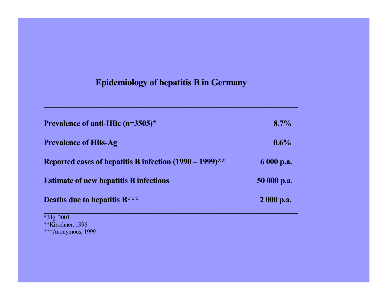# **Epidemiology of hepatitis B in Germany**

\_\_\_\_\_\_\_\_\_\_\_\_\_\_\_\_\_\_\_\_\_\_\_\_\_\_\_\_\_\_\_\_\_\_\_\_\_\_\_\_\_\_\_\_\_\_\_\_\_\_\_\_\_\_\_\_\_\_\_\_\_\_\_\_\_

| Prevalence of anti-HBc (n=3505)*                           | 8.7%        |
|------------------------------------------------------------|-------------|
| <b>Prevalence of HBs-Ag</b>                                | $0.6\%$     |
| Reported cases of hepatitis B infection $(1990 - 1999)$ ** | 6 000 p.a.  |
| <b>Estimate of new hepatitis B infections</b>              | 50 000 p.a. |
| Deaths due to hepatitis B***                               | $2000$ p.a. |

**\_\_\_\_\_\_\_\_\_\_\_\_\_\_\_\_\_\_\_\_\_\_\_\_\_\_\_\_\_\_\_\_\_\_\_\_\_\_\_\_\_\_\_\_\_\_\_\_\_\_\_\_\_\_\_\_\_\_\_\_\_\_\_\_\_** \*Jilg, 2001 \*\*Kirschner, 1996 \*\*\*Anonymous, 1999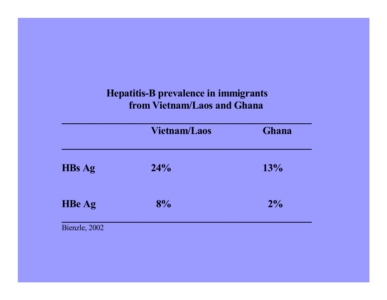# **Hepatitis-B prevalence in immigrants** *<b>from Vietnam/Laos and Ghana*

|               | <b>Vietnam/Laos</b> | <b>Ghana</b> |
|---------------|---------------------|--------------|
| <b>HBs Ag</b> | 24%                 | 13%          |
| <b>HBe Ag</b> | 8%                  | 2%           |
| Bienzle, 2002 |                     |              |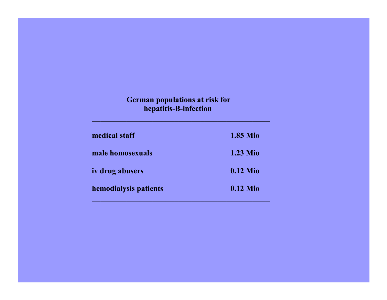#### **German populations at risk for hepatitis-B-infection**

**\_\_\_\_\_\_\_\_\_\_\_\_\_\_\_\_\_\_\_\_\_\_\_\_\_\_\_\_\_\_\_\_\_\_\_\_\_\_\_\_\_**

| medical staff          | <b>1.85 Mio</b> |
|------------------------|-----------------|
| male homosexuals       | <b>1.23 Mio</b> |
| <i>iv</i> drug abusers | $0.12$ Mio      |
| hemodialysis patients  | $0.12$ Mio      |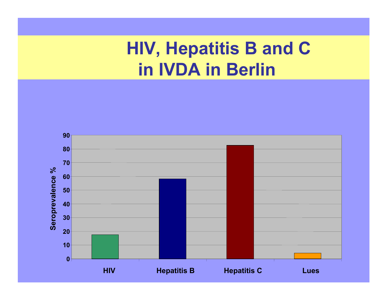# **HIV, Hepatitis B and C in IVDA in Berlin**

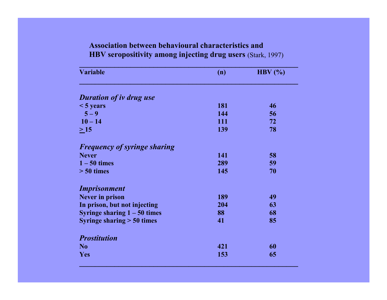# **HBV seropositivity among injecting drug users** (Stark, 1997) **\_\_\_\_\_\_\_\_\_\_\_\_\_\_\_\_\_\_\_\_\_\_\_\_\_\_\_\_\_\_\_\_\_\_\_\_\_\_\_\_\_\_\_\_\_\_\_\_\_\_\_\_\_\_\_\_ Variable (n) HBV (%) \_\_\_\_\_\_\_\_\_\_\_\_\_\_\_\_\_\_\_\_\_\_\_\_\_\_\_\_\_\_\_\_\_\_\_\_\_\_\_\_\_\_\_\_\_\_\_\_\_\_\_\_\_\_\_\_** *Duration of iv drug use* **< 5 years 181 46**

 **Association between behavioural characteristics and**

| $\sim$ years                        | TOT | TV |
|-------------------------------------|-----|----|
| $5 - 9$                             | 144 | 56 |
| $10 - 14$                           | 111 | 72 |
| $>15$                               | 139 | 78 |
| <b>Frequency of syringe sharing</b> |     |    |
| <b>Never</b>                        | 141 | 58 |
| $1 - 50$ times                      | 289 | 59 |
| $> 50$ times                        | 145 | 70 |
| <i>Imprisonment</i>                 |     |    |
| <b>Never in prison</b>              | 189 | 49 |
| In prison, but not injecting        | 204 | 63 |
| Syringe sharing $1 - 50$ times      | 88  | 68 |
| Syringe sharing $> 50$ times        | 41  | 85 |
| <b>Prostitution</b>                 |     |    |
| N <sub>0</sub>                      | 421 | 60 |
| Yes                                 | 153 | 65 |
|                                     |     |    |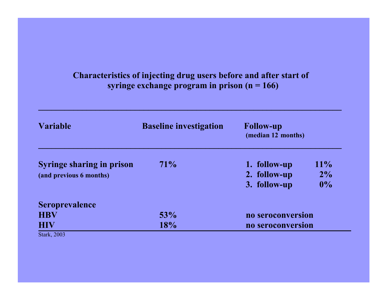## **Characteristics of injecting drug users before and after start of syringe exchange program in prison (n = 166)**

**\_\_\_\_\_\_\_\_\_\_\_\_\_\_\_\_\_\_\_\_\_\_\_\_\_\_\_\_\_\_\_\_\_\_\_\_\_\_\_\_\_\_\_\_\_\_\_\_\_\_\_\_\_\_\_\_\_\_\_\_\_\_\_\_\_\_\_\_\_**

| <b>Variable</b>                  | <b>Baseline investigation</b> | <b>Follow-up</b><br>(median 12 months) |        |
|----------------------------------|-------------------------------|----------------------------------------|--------|
| <b>Syringe sharing in prison</b> | 71%                           | 1. follow-up                           | $11\%$ |
| (and previous 6 months)          |                               | 2. follow-up                           | $2\%$  |
|                                  |                               | 3. follow-up                           | $0\%$  |
| <b>Seroprevalence</b>            |                               |                                        |        |
| <b>HBV</b>                       | 53%                           | no seroconversion                      |        |
| <b>HIV</b>                       | 18%                           | no seroconversion                      |        |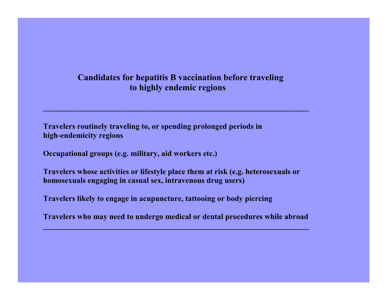#### **Candidates for hepatitis B vaccination before traveling to highly endemic regions**

**\_\_\_\_\_\_\_\_\_\_\_\_\_\_\_\_\_\_\_\_\_\_\_\_\_\_\_\_\_\_\_\_\_\_\_\_\_\_\_\_\_\_\_\_\_\_\_\_\_\_\_\_\_\_\_\_\_\_\_\_\_\_\_\_\_\_\_\_**

**Travelers routinely traveling to, or spending prolonged periods in high-endemicity regions**

**Occupational groups (e.g. military, aid workers etc.)**

**Travelers whose activities or lifestyle place them at risk (e.g. heterosexuals or homosexuals engaging in casual sex, intravenous drug users)**

**Travelers likely to engage in acupuncture, tattooing or body piercing**

**Travelers who may need to undergo medical or dental procedures while abroad**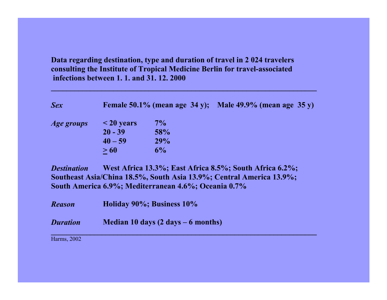**Data regarding destination, type and duration of travel in 2 024 travelers consulting the Institute of Tropical Medicine Berlin for travel-associated infections between 1. 1. and 31. 12. 2000**

**\_\_\_\_\_\_\_\_\_\_\_\_\_\_\_\_\_\_\_\_\_\_\_\_\_\_\_\_\_\_\_\_\_\_\_\_\_\_\_\_\_\_\_\_\_\_\_\_\_\_\_\_\_\_\_\_\_\_\_\_\_\_\_\_\_\_\_\_**

| <b>Sex</b>         |                                                  | Female $50.1\%$ (mean age $34$ y);                   | <b>Male 49.9% (mean age 35 y)</b>                                                                                               |
|--------------------|--------------------------------------------------|------------------------------------------------------|---------------------------------------------------------------------------------------------------------------------------------|
| <i>Age groups</i>  | $\leq$ 20 years<br>$20 - 39$<br>$40 - 59$<br>>60 | $7\%$<br>58%<br>29%<br>6%                            |                                                                                                                                 |
| <b>Destination</b> |                                                  | South America 6.9%; Mediterranean 4.6%; Oceania 0.7% | West Africa 13.3%; East Africa 8.5%; South Africa 6.2%;<br>Southeast Asia/China 18.5%, South Asia 13.9%; Central America 13.9%; |
| <b>Reason</b>      |                                                  | Holiday 90%; Business 10%                            |                                                                                                                                 |
| <b>Duration</b>    |                                                  | Median 10 days $(2 \text{ days} - 6 \text{ months})$ |                                                                                                                                 |

Harms, 2002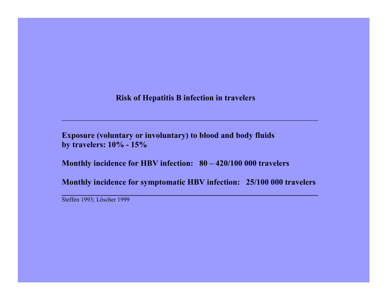**Risk of Hepatitis B infection in travelers**

\_\_\_\_\_\_\_\_\_\_\_\_\_\_\_\_\_\_\_\_\_\_\_\_\_\_\_\_\_\_\_\_\_\_\_\_\_\_\_\_\_\_\_\_\_\_\_\_\_\_\_\_\_\_\_\_\_\_\_\_\_\_\_

**Exposure (voluntary or involuntary) to blood and body fluids by travelers: 10% - 15%**

**Monthly incidence for HBV infection: 80 – 420/100 000 travelers**

**Monthly incidence for symptomatic HBV infection: 25/100 000 travelers**

**\_\_\_\_\_\_\_\_\_\_\_\_\_\_\_\_\_\_\_\_\_\_\_\_\_\_\_\_\_\_\_\_\_\_\_\_\_\_\_\_\_\_\_\_\_\_\_\_\_\_\_\_\_\_\_\_\_\_\_\_\_\_\_**

Steffen 1993; Löscher 1999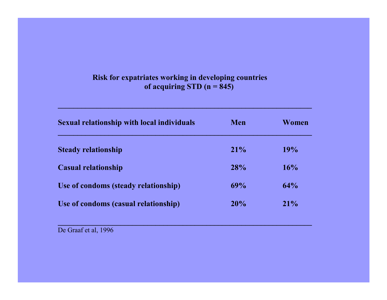#### **Risk for expatriates working in developing countries of acquiring STD (n = 845)**

**\_\_\_\_\_\_\_\_\_\_\_\_\_\_\_\_\_\_\_\_\_\_\_\_\_\_\_\_\_\_\_\_\_\_\_\_\_\_\_\_\_\_\_\_\_\_\_\_\_\_\_\_\_\_\_\_\_\_\_\_\_\_\_\_\_**

| <b>Sexual relationship with local individuals</b> | Men | Women  |
|---------------------------------------------------|-----|--------|
| <b>Steady relationship</b>                        | 21% | 19%    |
| <b>Casual relationship</b>                        | 28% | 16%    |
| Use of condoms (steady relationship)              | 69% | 64%    |
| Use of condoms (casual relationship)              | 20% | $21\%$ |

**\_\_\_\_\_\_\_\_\_\_\_\_\_\_\_\_\_\_\_\_\_\_\_\_\_\_\_\_\_\_\_\_\_\_\_\_\_\_\_\_\_\_\_\_\_\_\_\_\_\_\_\_\_\_\_\_\_\_\_\_\_\_\_\_\_**

De Graaf et al, 1996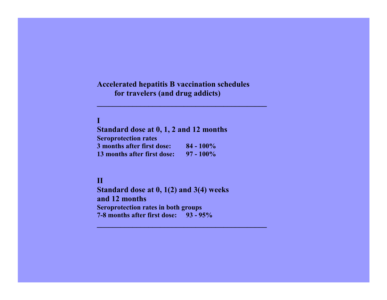#### **Accelerated hepatitis B vaccination schedules for travelers (and drug addicts)**

**\_\_\_\_\_\_\_\_\_\_\_\_\_\_\_\_\_\_\_\_\_\_\_\_\_\_\_\_\_\_\_\_\_\_\_\_\_\_\_\_\_\_\_**

#### **I**

**Standard dose at 0, 1, 2 and 12 months Seroprotection rates 3 months after first dose: 84 - 100%13 months after first dose: 97 - 100%**

#### **II**

**Standard dose at 0, 1(2) and 3(4) weeks and 12 monthsSeroprotection rates in both groups 7-8 months after first dose: 93 - 95%**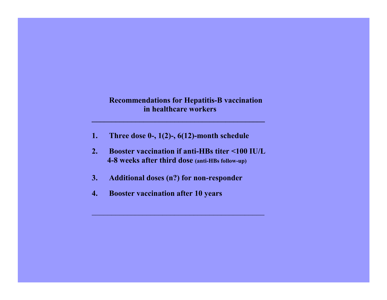#### **Recommendations for Hepatitis-B vaccination in healthcare workers**

- **1. Three dose 0-, 1(2)-, 6(12)-month schedule**
- **2. Booster vaccination if anti-HBs titer <100 IU/L 4-8 weeks after third dose (anti-HBs follow-up)**

**\_\_\_\_\_\_\_\_\_\_\_\_\_\_\_\_\_\_\_\_\_\_\_\_\_\_\_\_\_\_\_\_\_\_\_\_\_\_\_\_\_\_\_\_\_**

- **3.Additional doses (n?) for non-responder**
- **4.Booster vaccination after 10 years**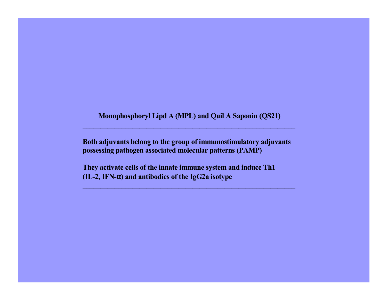**Monophosphoryl Lipd A (MPL) and Quil A Saponin (QS21)**

**\_\_\_\_\_\_\_\_\_\_\_\_\_\_\_\_\_\_\_\_\_\_\_\_\_\_\_\_\_\_\_\_\_\_\_\_\_\_\_\_\_\_\_\_\_\_\_\_\_\_\_\_\_\_\_\_\_\_\_\_**

**Both adjuvants belong to the group of immunostimulatory adjuvants possessing pathogen associated molecular patterns (PAMP)**

**They activate cells of the innate immune system and induce Th1 (IL-2, IFN-**<sup>α</sup>**) and antibodies of the IgG2a isotype**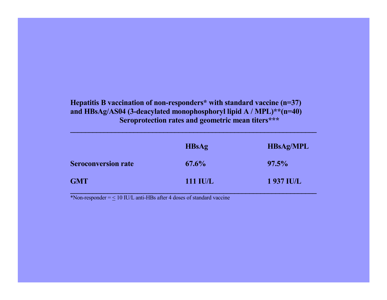#### **Hepatitis B vaccination of non-responders\* with standard vaccine (n=37) and HBsAg/AS04 (3-deacylated monophosphoryl lipid A / MPL)\*\*(n=40) Seroprotection rates and geometric mean titers\*\*\***

|                            | <b>HBsAg</b>    | <b>HBsAg/MPL</b> |
|----------------------------|-----------------|------------------|
| <b>Seroconversion rate</b> | $67.6\%$        | $97.5\%$         |
| <b>GMT</b>                 | <b>111 IU/L</b> | 1 937 IU/L       |

**\_\_\_\_\_\_\_\_\_\_\_\_\_\_\_\_\_\_\_\_\_\_\_\_\_\_\_\_\_\_\_\_\_\_\_\_\_\_\_\_\_\_\_\_\_\_\_\_\_\_\_\_\_\_\_\_\_\_\_\_\_\_\_\_\_\_**

\*Non-responder =  $\leq 10$  IU/L anti-HBs after 4 doses of standard vaccine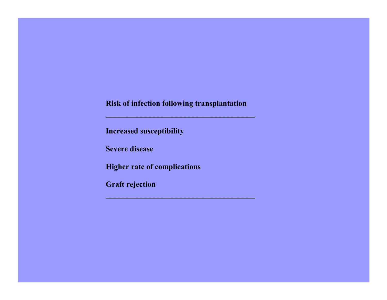**Risk of infection following transplantation**

**\_\_\_\_\_\_\_\_\_\_\_\_\_\_\_\_\_\_\_\_\_\_\_\_\_\_\_\_\_\_\_\_\_\_**

**Increased susceptibility**

**Severe disease**

**Higher rate of complications**

**Graft rejection**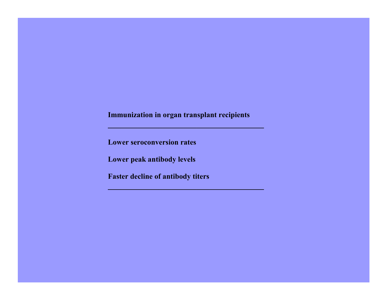### **Immunization in organ transplant recipients**

**\_\_\_\_\_\_\_\_\_\_\_\_\_\_\_\_\_\_\_\_\_\_\_\_\_\_\_\_\_\_\_\_\_\_\_\_\_**

**Lower seroconversion rates**

**Lower peak antibody levels**

**Faster decline of antibody titers**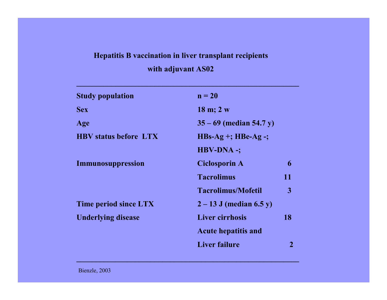## **Hepatitis B vaccination in liver transplant recipients**

## **with adjuvant AS02**

**\_\_\_\_\_\_\_\_\_\_\_\_\_\_\_\_\_\_\_\_\_\_\_\_\_\_\_\_\_\_\_\_\_\_\_\_\_\_\_\_\_\_\_\_\_\_\_\_\_\_\_\_\_\_\_\_\_**

| <b>Study population</b>      | $n = 20$                    |    |
|------------------------------|-----------------------------|----|
| <b>Sex</b>                   | $18 \text{ m}; 2 \text{ w}$ |    |
| Age                          | $35 - 69$ (median 54.7 y)   |    |
| <b>HBV</b> status before LTX | $HBs-Ag$ +; HBe-Ag -;       |    |
|                              | <b>HBV-DNA -;</b>           |    |
| Immunosuppression            | <b>Ciclosporin A</b>        | 6  |
|                              | <b>Tacrolimus</b>           | 11 |
|                              | <b>Tacrolimus/Mofetil</b>   | 3  |
| <b>Time period since LTX</b> | $2 - 13$ J (median 6.5 y)   |    |
| <b>Underlying disease</b>    | <b>Liver cirrhosis</b>      | 18 |
|                              | <b>Acute hepatitis and</b>  |    |
|                              | <b>Liver failure</b>        |    |

**\_\_\_\_\_\_\_\_\_\_\_\_\_\_\_\_\_\_\_\_\_\_\_\_\_\_\_\_\_\_\_\_\_\_\_\_\_\_\_\_\_\_\_\_\_\_\_\_\_\_\_\_\_\_\_\_\_**